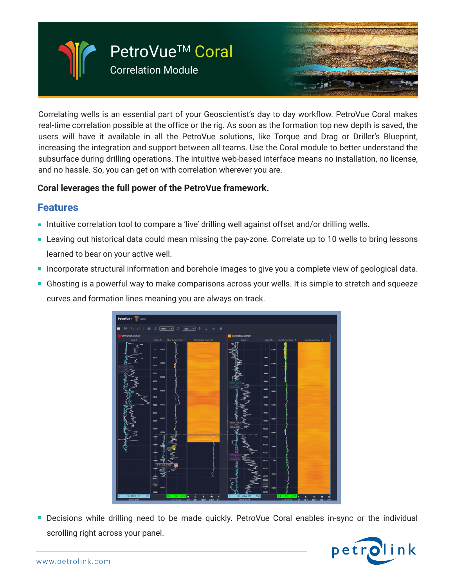

Correlating wells is an essential part of your Geoscientist's day to day workflow. PetroVue Coral makes real-time correlation possible at the office or the rig. As soon as the formation top new depth is saved, the users will have it available in all the PetroVue solutions, like Torque and Drag or Driller's Blueprint, increasing the integration and support between all teams. Use the Coral module to better understand the subsurface during drilling operations. The intuitive web-based interface means no installation, no license, and no hassle. So, you can get on with correlation wherever you are.

## **Coral leverages the full power of the PetroVue framework.**

## **Features**

- Intuitive correlation tool to compare a 'live' drilling well against offset and/or drilling wells.
- **Leaving out historical data could mean missing the pay-zone. Correlate up to 10 wells to bring lessons** learned to bear on your active well.
- **Incorporate structural information and borehole images to give you a complete view of geological data.**
- **Ghosting is a powerful way to make comparisons across your wells. It is simple to stretch and squeeze** curves and formation lines meaning you are always on track.



Decisions while drilling need to be made quickly. PetroVue Coral enables in-sync or the individual  $\Box$ scrolling right across your panel.